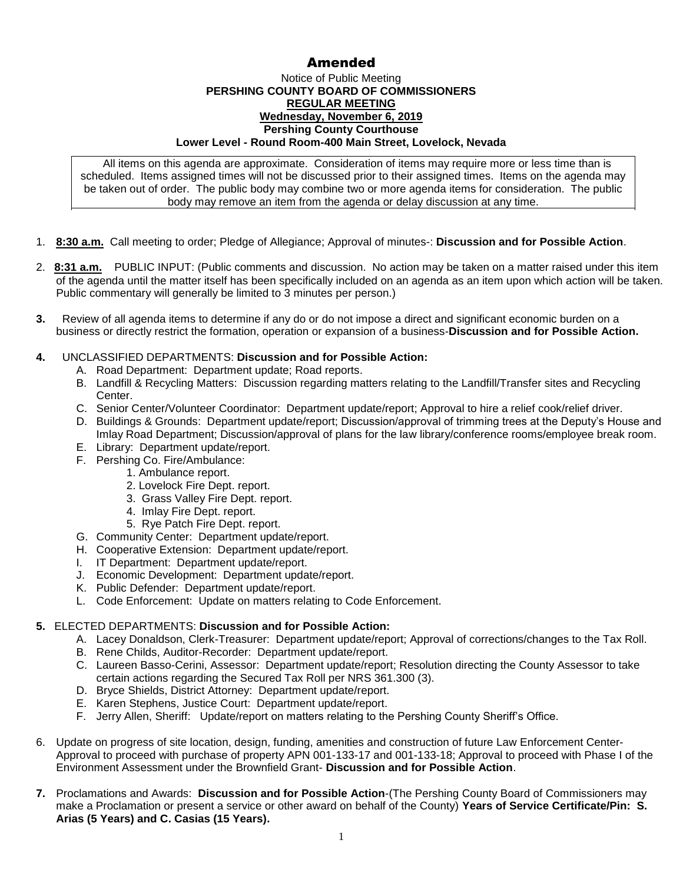## Amended

## Notice of Public Meeting **PERSHING COUNTY BOARD OF COMMISSIONERS REGULAR MEETING Wednesday, November 6, 2019 Pershing County Courthouse Lower Level - Round Room-400 Main Street, Lovelock, Nevada**

All items on this agenda are approximate. Consideration of items may require more or less time than is scheduled. Items assigned times will not be discussed prior to their assigned times. Items on the agenda may be taken out of order. The public body may combine two or more agenda items for consideration. The public body may remove an item from the agenda or delay discussion at any time.

- 1. **8:30 a.m.** Call meeting to order; Pledge of Allegiance; Approval of minutes-: **Discussion and for Possible Action**.
- 2. **8:31 a.m.** PUBLIC INPUT: (Public comments and discussion. No action may be taken on a matter raised under this item of the agenda until the matter itself has been specifically included on an agenda as an item upon which action will be taken. Public commentary will generally be limited to 3 minutes per person.)
- **3.** Review of all agenda items to determine if any do or do not impose a direct and significant economic burden on a business or directly restrict the formation, operation or expansion of a business-**Discussion and for Possible Action.**

## **4.** UNCLASSIFIED DEPARTMENTS: **Discussion and for Possible Action:**

- A. Road Department: Department update; Road reports.
- B. Landfill & Recycling Matters: Discussion regarding matters relating to the Landfill/Transfer sites and Recycling Center.
- C. Senior Center/Volunteer Coordinator: Department update/report; Approval to hire a relief cook/relief driver.
- D. Buildings & Grounds: Department update/report; Discussion/approval of trimming trees at the Deputy's House and Imlay Road Department; Discussion/approval of plans for the law library/conference rooms/employee break room.
- E. Library: Department update/report.
- F. Pershing Co. Fire/Ambulance:
	- 1. Ambulance report.
		- 2. Lovelock Fire Dept. report.
		- 3. Grass Valley Fire Dept. report.
		- 4. Imlay Fire Dept. report.
		- 5. Rye Patch Fire Dept. report.
- G. Community Center: Department update/report.
- H. Cooperative Extension: Department update/report.
- I. IT Department: Department update/report.
- J. Economic Development: Department update/report.
- K. Public Defender: Department update/report.
- L. Code Enforcement: Update on matters relating to Code Enforcement.

## **5.** ELECTED DEPARTMENTS: **Discussion and for Possible Action:**

- A. Lacey Donaldson, Clerk-Treasurer: Department update/report; Approval of corrections/changes to the Tax Roll.
- B. Rene Childs, Auditor-Recorder: Department update/report.
- C. Laureen Basso-Cerini, Assessor: Department update/report; Resolution directing the County Assessor to take certain actions regarding the Secured Tax Roll per NRS 361.300 (3).
- D. Bryce Shields, District Attorney: Department update/report.
- E. Karen Stephens, Justice Court: Department update/report.
- F. Jerry Allen, Sheriff: Update/report on matters relating to the Pershing County Sheriff's Office.
- 6. Update on progress of site location, design, funding, amenities and construction of future Law Enforcement Center-Approval to proceed with purchase of property APN 001-133-17 and 001-133-18; Approval to proceed with Phase I of the Environment Assessment under the Brownfield Grant- **Discussion and for Possible Action**.
- **7.** Proclamations and Awards: **Discussion and for Possible Action**-(The Pershing County Board of Commissioners may make a Proclamation or present a service or other award on behalf of the County) **Years of Service Certificate/Pin: S. Arias (5 Years) and C. Casias (15 Years).**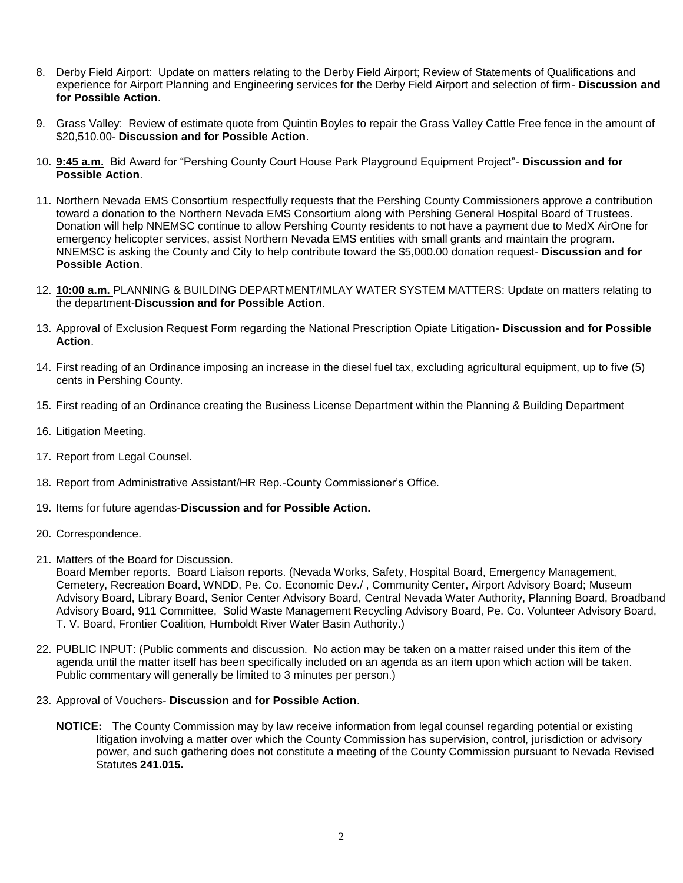- 8. Derby Field Airport: Update on matters relating to the Derby Field Airport; Review of Statements of Qualifications and experience for Airport Planning and Engineering services for the Derby Field Airport and selection of firm- **Discussion and for Possible Action**.
- 9. Grass Valley: Review of estimate quote from Quintin Boyles to repair the Grass Valley Cattle Free fence in the amount of \$20,510.00- **Discussion and for Possible Action**.
- 10. **9:45 a.m.** Bid Award for "Pershing County Court House Park Playground Equipment Project"- **Discussion and for Possible Action**.
- 11. Northern Nevada EMS Consortium respectfully requests that the Pershing County Commissioners approve a contribution toward a donation to the Northern Nevada EMS Consortium along with Pershing General Hospital Board of Trustees. Donation will help NNEMSC continue to allow Pershing County residents to not have a payment due to MedX AirOne for emergency helicopter services, assist Northern Nevada EMS entities with small grants and maintain the program. NNEMSC is asking the County and City to help contribute toward the \$5,000.00 donation request- **Discussion and for Possible Action**.
- 12. **10:00 a.m.** PLANNING & BUILDING DEPARTMENT/IMLAY WATER SYSTEM MATTERS: Update on matters relating to the department-**Discussion and for Possible Action**.
- 13. Approval of Exclusion Request Form regarding the National Prescription Opiate Litigation- **Discussion and for Possible Action**.
- 14. First reading of an Ordinance imposing an increase in the diesel fuel tax, excluding agricultural equipment, up to five (5) cents in Pershing County.
- 15. First reading of an Ordinance creating the Business License Department within the Planning & Building Department
- 16. Litigation Meeting.
- 17. Report from Legal Counsel.
- 18. Report from Administrative Assistant/HR Rep.-County Commissioner's Office.
- 19. Items for future agendas-**Discussion and for Possible Action.**
- 20. Correspondence.
- 21. Matters of the Board for Discussion.
	- Board Member reports. Board Liaison reports. (Nevada Works, Safety, Hospital Board, Emergency Management, Cemetery, Recreation Board, WNDD, Pe. Co. Economic Dev./ , Community Center, Airport Advisory Board; Museum Advisory Board, Library Board, Senior Center Advisory Board, Central Nevada Water Authority, Planning Board, Broadband Advisory Board, 911 Committee, Solid Waste Management Recycling Advisory Board, Pe. Co. Volunteer Advisory Board, T. V. Board, Frontier Coalition, Humboldt River Water Basin Authority.)
- 22. PUBLIC INPUT: (Public comments and discussion. No action may be taken on a matter raised under this item of the agenda until the matter itself has been specifically included on an agenda as an item upon which action will be taken. Public commentary will generally be limited to 3 minutes per person.)
- 23. Approval of Vouchers- **Discussion and for Possible Action**.
	- **NOTICE:** The County Commission may by law receive information from legal counsel regarding potential or existing litigation involving a matter over which the County Commission has supervision, control, jurisdiction or advisory power, and such gathering does not constitute a meeting of the County Commission pursuant to Nevada Revised Statutes **241.015.**